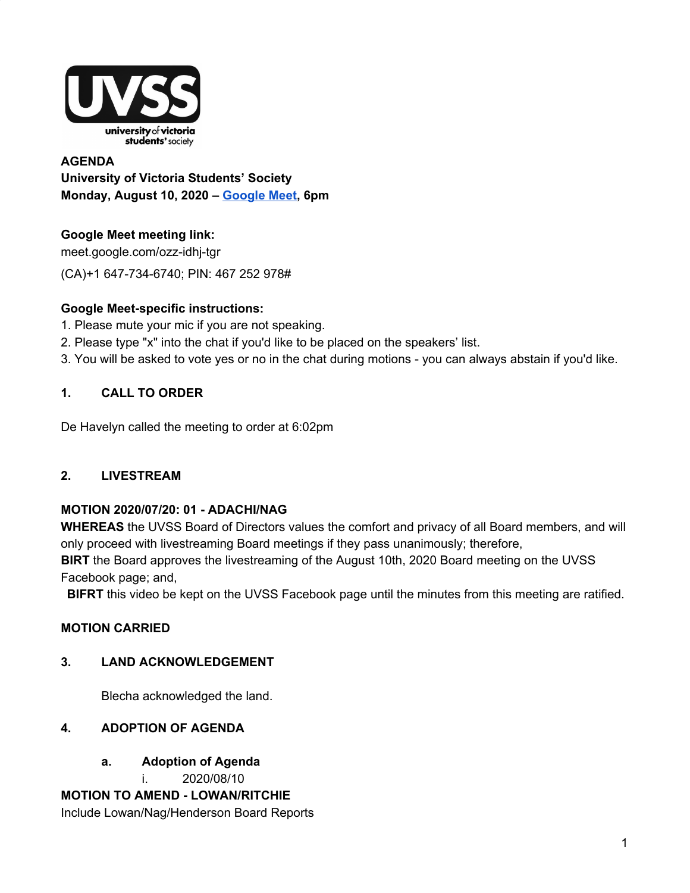

**AGENDA University of Victoria Students' Society Monday, August 10, 2020 – Google Meet, 6pm**

# **Google Meet meeting link:**

meet.google.com/ozz-idhj-tgr (CA)+1 647-734-6740; PIN: 467 252 978#

# **Google Meet-specific instructions:**

- 1. Please mute your mic if you are not speaking.
- 2. Please type "x" into the chat if you'd like to be placed on the speakers' list.
- 3. You will be asked to vote yes or no in the chat during motions you can always abstain if you'd like.

# **1. CALL TO ORDER**

De Havelyn called the meeting to order at 6:02pm

# **2. LIVESTREAM**

# **MOTION 2020/07/20: 01 - ADACHI/NAG**

**WHEREAS** the UVSS Board of Directors values the comfort and privacy of all Board members, and will only proceed with livestreaming Board meetings if they pass unanimously; therefore, **BIRT** the Board approves the livestreaming of the August 10th, 2020 Board meeting on the UVSS Facebook page; and,

**BIFRT** this video be kept on the UVSS Facebook page until the minutes from this meeting are ratified.

# **MOTION CARRIED**

# **3. LAND ACKNOWLEDGEMENT**

Blecha acknowledged the land.

# **4. ADOPTION OF AGENDA**

**a. Adoption of Agenda**

i. 2020/08/10

**MOTION TO AMEND - LOWAN/RITCHIE** Include Lowan/Nag/Henderson Board Reports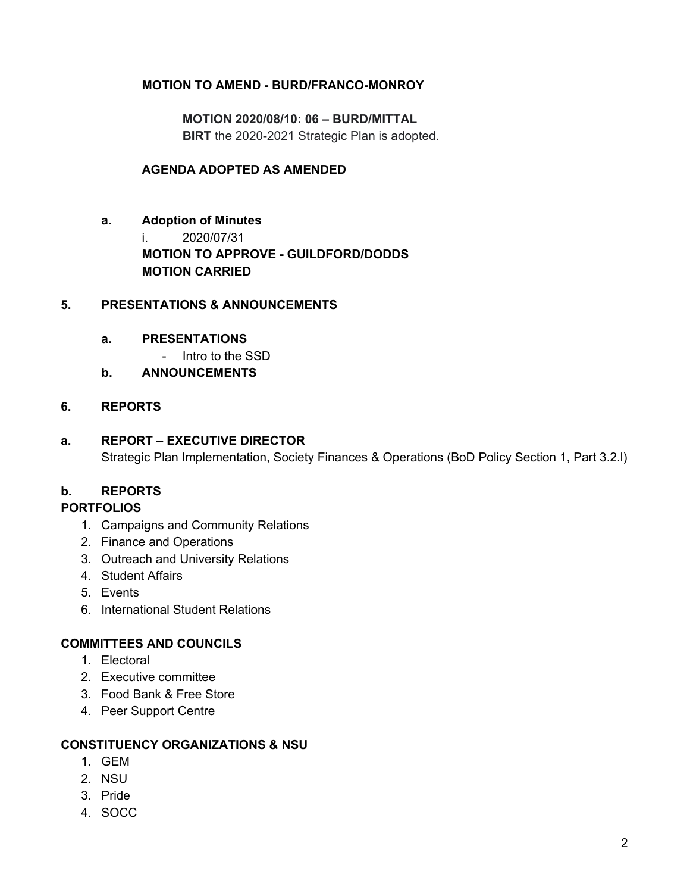### **MOTION TO AMEND - BURD/FRANCO-MONROY**

**MOTION 2020/08/10: 06 – BURD/MITTAL BIRT** the 2020-2021 Strategic Plan is adopted.

### **AGENDA ADOPTED AS AMENDED**

**a. Adoption of Minutes** i. 2020/07/31 **MOTION TO APPROVE - GUILDFORD/DODDS MOTION CARRIED**

### **5. PRESENTATIONS & ANNOUNCEMENTS**

#### **a. PRESENTATIONS**

- Intro to the SSD
- **b. ANNOUNCEMENTS**

### **6. REPORTS**

### **a. REPORT – EXECUTIVE DIRECTOR**

Strategic Plan Implementation, Society Finances & Operations (BoD Policy Section 1, Part 3.2.l)

## **b. REPORTS**

#### **PORTFOLIOS**

- 1. Campaigns and Community Relations
- 2. Finance and Operations
- 3. Outreach and University Relations
- 4. Student Affairs
- 5. Events
- 6. International Student Relations

#### **COMMITTEES AND COUNCILS**

- 1. Electoral
- 2. Executive committee
- 3. Food Bank & Free Store
- 4. Peer Support Centre

### **CONSTITUENCY ORGANIZATIONS & NSU**

- 1. GEM
- 2. NSU
- 3. Pride
- 4. SOCC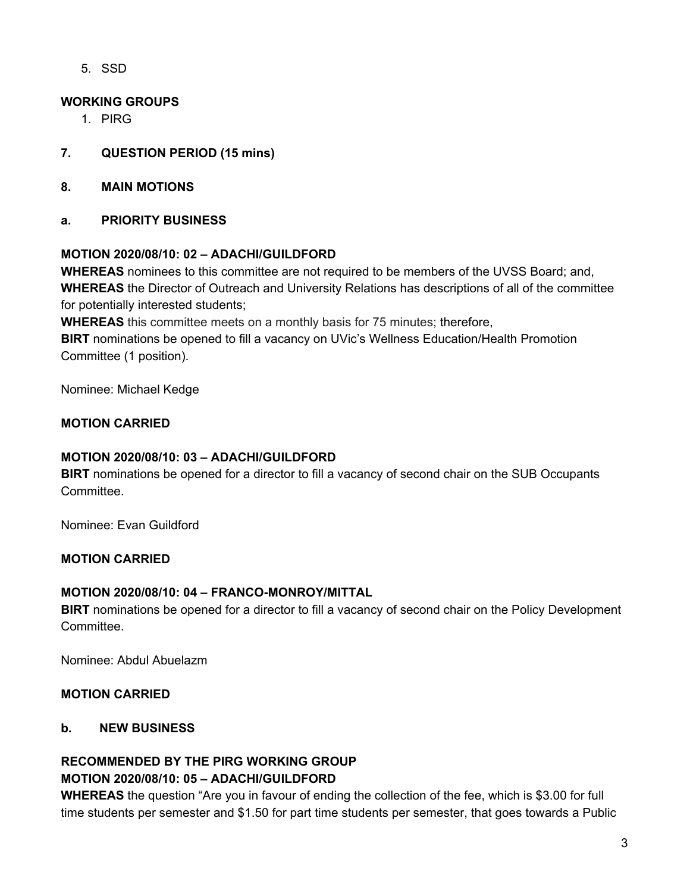5. SSD

## **WORKING GROUPS**

- 1. PIRG
- **7. QUESTION PERIOD (15 mins)**
- **8. MAIN MOTIONS**
- **a. PRIORITY BUSINESS**

### **MOTION 2020/08/10: 02 – ADACHI/GUILDFORD**

**WHEREAS** nominees to this committee are not required to be members of the UVSS Board; and, **WHEREAS** the Director of Outreach and University Relations has descriptions of all of the committee for potentially interested students;

**WHEREAS** this committee meets on a monthly basis for 75 minutes; therefore,

**BIRT** nominations be opened to fill a vacancy on UVic's Wellness Education/Health Promotion Committee (1 position).

Nominee: Michael Kedge

### **MOTION CARRIED**

### **MOTION 2020/08/10: 03 – ADACHI/GUILDFORD**

**BIRT** nominations be opened for a director to fill a vacancy of second chair on the SUB Occupants Committee.

Nominee: Evan Guildford

# **MOTION CARRIED**

### **MOTION 2020/08/10: 04 – FRANCO-MONROY/MITTAL**

**BIRT** nominations be opened for a director to fill a vacancy of second chair on the Policy Development Committee.

Nominee: Abdul Abuelazm

### **MOTION CARRIED**

### **b. NEW BUSINESS**

# **RECOMMENDED BY THE PIRG WORKING GROUP MOTION 2020/08/10: 05 – ADACHI/GUILDFORD**

**WHEREAS** the question "Are you in favour of ending the collection of the fee, which is \$3.00 for full time students per semester and \$1.50 for part time students per semester, that goes towards a Public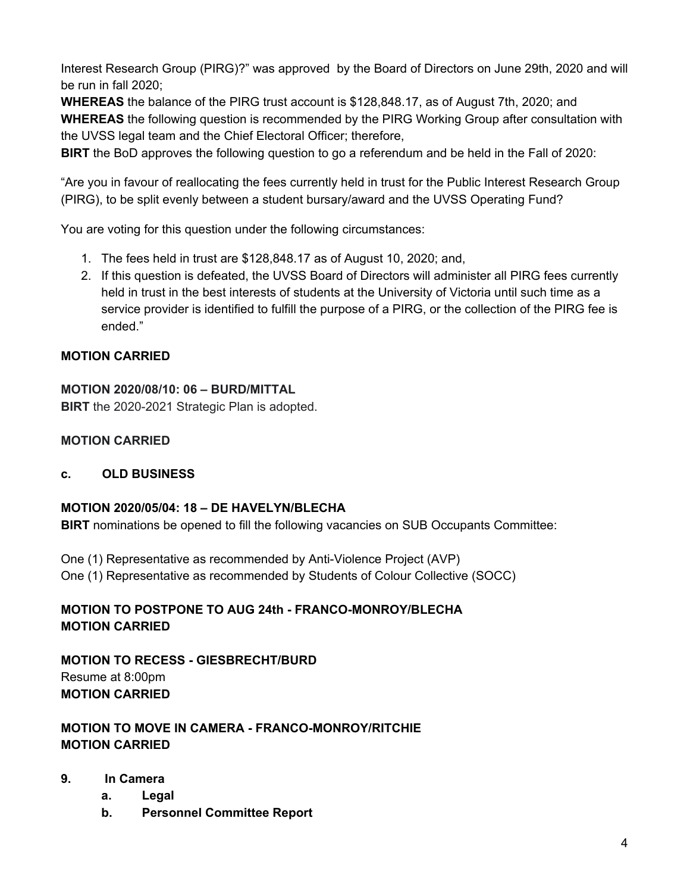Interest Research Group (PIRG)?" was approved by the Board of Directors on June 29th, 2020 and will be run in fall 2020;

**WHEREAS** the balance of the PIRG trust account is \$128,848.17, as of August 7th, 2020; and **WHEREAS** the following question is recommended by the PIRG Working Group after consultation with the UVSS legal team and the Chief Electoral Officer; therefore,

**BIRT** the BoD approves the following question to go a referendum and be held in the Fall of 2020:

"Are you in favour of reallocating the fees currently held in trust for the Public Interest Research Group (PIRG), to be split evenly between a student bursary/award and the UVSS Operating Fund?

You are voting for this question under the following circumstances:

- 1. The fees held in trust are \$128,848.17 as of August 10, 2020; and,
- 2. If this question is defeated, the UVSS Board of Directors will administer all PIRG fees currently held in trust in the best interests of students at the University of Victoria until such time as a service provider is identified to fulfill the purpose of a PIRG, or the collection of the PIRG fee is ended."

# **MOTION CARRIED**

### **MOTION 2020/08/10: 06 – BURD/MITTAL**

**BIRT** the 2020-2021 Strategic Plan is adopted.

## **MOTION CARRIED**

### **c. OLD BUSINESS**

### **MOTION 2020/05/04: 18 – DE HAVELYN/BLECHA**

**BIRT** nominations be opened to fill the following vacancies on SUB Occupants Committee:

One (1) Representative as recommended by Anti-Violence Project (AVP)

One (1) Representative as recommended by Students of Colour Collective (SOCC)

# **MOTION TO POSTPONE TO AUG 24th - FRANCO-MONROY/BLECHA MOTION CARRIED**

**MOTION TO RECESS - GIESBRECHT/BURD** Resume at 8:00pm **MOTION CARRIED**

# **MOTION TO MOVE IN CAMERA - FRANCO-MONROY/RITCHIE MOTION CARRIED**

- **9. In Camera**
	- **a. Legal**
	- **b. Personnel Committee Report**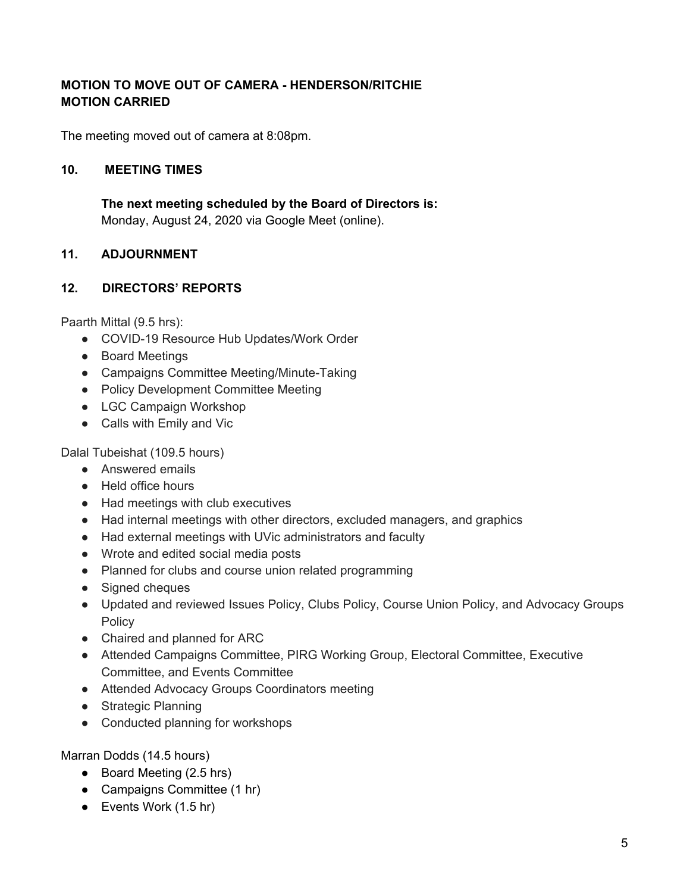# **MOTION TO MOVE OUT OF CAMERA - HENDERSON/RITCHIE MOTION CARRIED**

The meeting moved out of camera at 8:08pm.

### **10. MEETING TIMES**

**The next meeting scheduled by the Board of Directors is:** Monday, August 24, 2020 via Google Meet (online).

### **11. ADJOURNMENT**

### **12. DIRECTORS' REPORTS**

Paarth Mittal (9.5 hrs):

- COVID-19 Resource Hub Updates/Work Order
- Board Meetings
- Campaigns Committee Meeting/Minute-Taking
- Policy Development Committee Meeting
- LGC Campaign Workshop
- Calls with Emily and Vic

Dalal Tubeishat (109.5 hours)

- Answered emails
- Held office hours
- Had meetings with club executives
- Had internal meetings with other directors, excluded managers, and graphics
- Had external meetings with UVic administrators and faculty
- Wrote and edited social media posts
- Planned for clubs and course union related programming
- Signed cheques
- Updated and reviewed Issues Policy, Clubs Policy, Course Union Policy, and Advocacy Groups Policy
- Chaired and planned for ARC
- Attended Campaigns Committee, PIRG Working Group, Electoral Committee, Executive Committee, and Events Committee
- Attended Advocacy Groups Coordinators meeting
- Strategic Planning
- Conducted planning for workshops

Marran Dodds (14.5 hours)

- Board Meeting (2.5 hrs)
- Campaigns Committee (1 hr)
- Events Work (1.5 hr)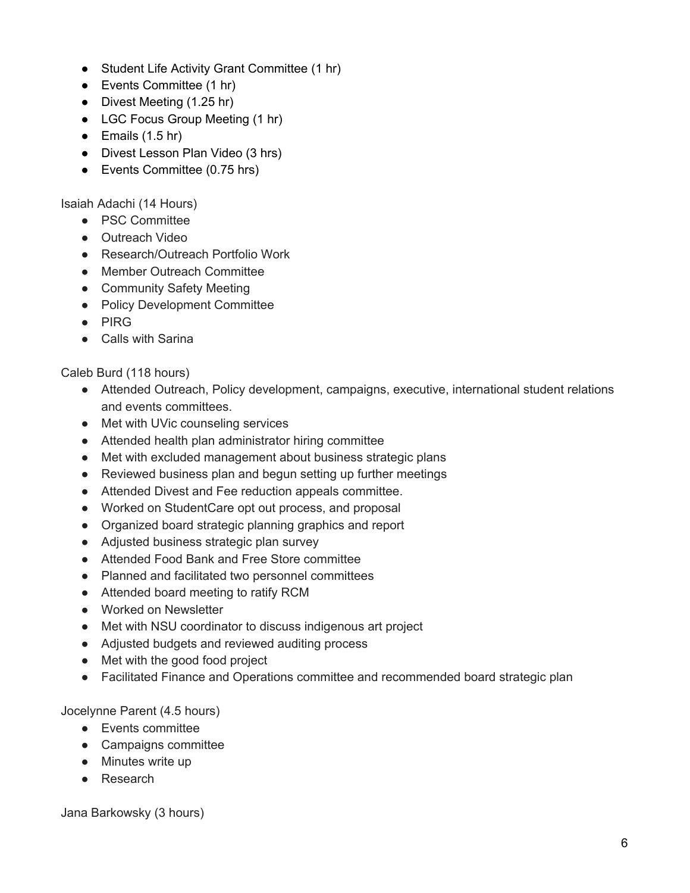- Student Life Activity Grant Committee (1 hr)
- Events Committee (1 hr)
- Divest Meeting (1.25 hr)
- LGC Focus Group Meeting (1 hr)
- $\bullet$  Emails (1.5 hr)
- Divest Lesson Plan Video (3 hrs)
- Events Committee (0.75 hrs)

Isaiah Adachi (14 Hours)

- PSC Committee
- Outreach Video
- Research/Outreach Portfolio Work
- Member Outreach Committee
- Community Safety Meeting
- Policy Development Committee
- PIRG
- Calls with Sarina

Caleb Burd (118 hours)

- Attended Outreach, Policy development, campaigns, executive, international student relations and events committees.
- Met with UVic counseling services
- Attended health plan administrator hiring committee
- Met with excluded management about business strategic plans
- Reviewed business plan and begun setting up further meetings
- Attended Divest and Fee reduction appeals committee.
- Worked on StudentCare opt out process, and proposal
- Organized board strategic planning graphics and report
- Adjusted business strategic plan survey
- Attended Food Bank and Free Store committee
- Planned and facilitated two personnel committees
- Attended board meeting to ratify RCM
- Worked on Newsletter
- Met with NSU coordinator to discuss indigenous art project
- Adjusted budgets and reviewed auditing process
- Met with the good food project
- Facilitated Finance and Operations committee and recommended board strategic plan

Jocelynne Parent (4.5 hours)

- Events committee
- Campaigns committee
- Minutes write up
- Research

Jana Barkowsky (3 hours)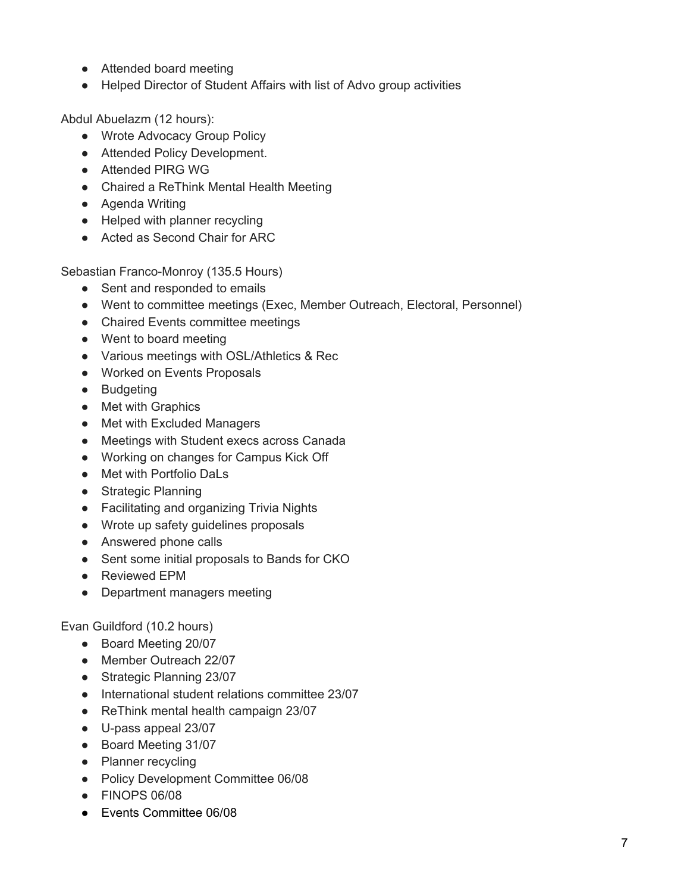- Attended board meeting
- Helped Director of Student Affairs with list of Advo group activities

Abdul Abuelazm (12 hours):

- Wrote Advocacy Group Policy
- Attended Policy Development.
- Attended PIRG WG
- Chaired a ReThink Mental Health Meeting
- Agenda Writing
- Helped with planner recycling
- Acted as Second Chair for ARC

Sebastian Franco-Monroy (135.5 Hours)

- Sent and responded to emails
- Went to committee meetings (Exec, Member Outreach, Electoral, Personnel)
- Chaired Events committee meetings
- Went to board meeting
- Various meetings with OSL/Athletics & Rec
- Worked on Events Proposals
- Budgeting
- Met with Graphics
- Met with Excluded Managers
- Meetings with Student execs across Canada
- Working on changes for Campus Kick Off
- Met with Portfolio DaLs
- Strategic Planning
- Facilitating and organizing Trivia Nights
- Wrote up safety guidelines proposals
- Answered phone calls
- Sent some initial proposals to Bands for CKO
- Reviewed EPM
- Department managers meeting

Evan Guildford (10.2 hours)

- Board Meeting 20/07
- Member Outreach 22/07
- Strategic Planning 23/07
- International student relations committee 23/07
- ReThink mental health campaign 23/07
- U-pass appeal 23/07
- Board Meeting 31/07
- Planner recycling
- Policy Development Committee 06/08
- FINOPS 06/08
- Events Committee 06/08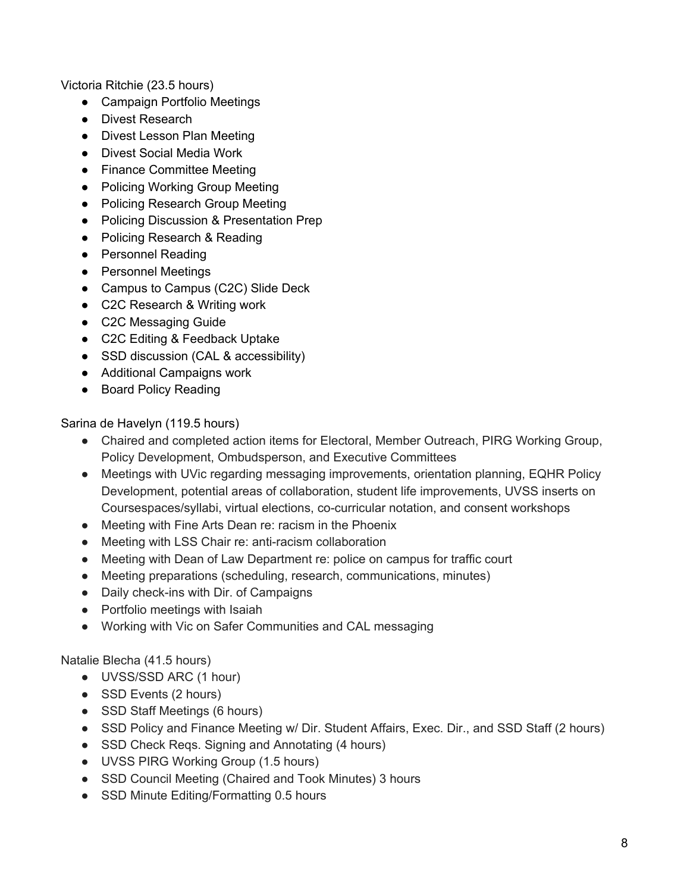Victoria Ritchie (23.5 hours)

- Campaign Portfolio Meetings
- Divest Research
- Divest Lesson Plan Meeting
- Divest Social Media Work
- Finance Committee Meeting
- Policing Working Group Meeting
- Policing Research Group Meeting
- Policing Discussion & Presentation Prep
- Policing Research & Reading
- Personnel Reading
- Personnel Meetings
- Campus to Campus (C2C) Slide Deck
- C2C Research & Writing work
- C2C Messaging Guide
- C2C Editing & Feedback Uptake
- SSD discussion (CAL & accessibility)
- Additional Campaigns work
- Board Policy Reading

Sarina de Havelyn (119.5 hours)

- Chaired and completed action items for Electoral, Member Outreach, PIRG Working Group, Policy Development, Ombudsperson, and Executive Committees
- Meetings with UVic regarding messaging improvements, orientation planning, EQHR Policy Development, potential areas of collaboration, student life improvements, UVSS inserts on Coursespaces/syllabi, virtual elections, co-curricular notation, and consent workshops
- Meeting with Fine Arts Dean re: racism in the Phoenix
- Meeting with LSS Chair re: anti-racism collaboration
- Meeting with Dean of Law Department re: police on campus for traffic court
- Meeting preparations (scheduling, research, communications, minutes)
- Daily check-ins with Dir. of Campaigns
- Portfolio meetings with Isaiah
- Working with Vic on Safer Communities and CAL messaging

Natalie Blecha (41.5 hours)

- UVSS/SSD ARC (1 hour)
- SSD Events (2 hours)
- SSD Staff Meetings (6 hours)
- SSD Policy and Finance Meeting w/ Dir. Student Affairs, Exec. Dir., and SSD Staff (2 hours)
- SSD Check Reqs. Signing and Annotating (4 hours)
- UVSS PIRG Working Group (1.5 hours)
- SSD Council Meeting (Chaired and Took Minutes) 3 hours
- SSD Minute Editing/Formatting 0.5 hours